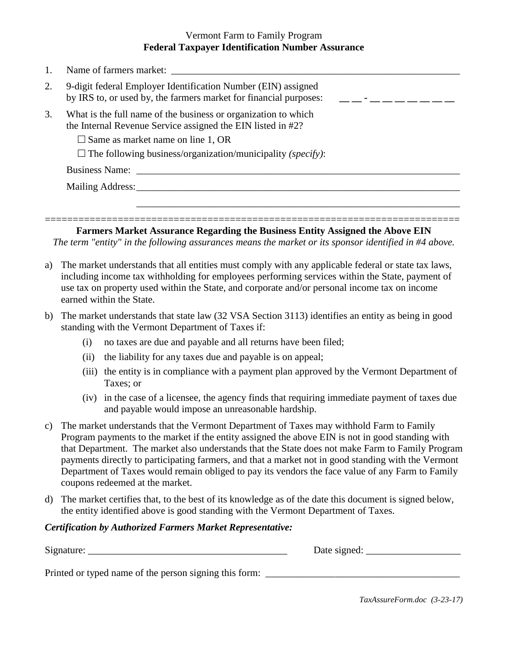## Vermont Farm to Family Program **Federal Taxpayer Identification Number Assurance**

|    | Name of farmers market:                                                                                                                                                                                                                            |
|----|----------------------------------------------------------------------------------------------------------------------------------------------------------------------------------------------------------------------------------------------------|
| 2. | 9-digit federal Employer Identification Number (EIN) assigned<br>by IRS to, or used by, the farmers market for financial purposes:                                                                                                                 |
| 3. | What is the full name of the business or organization to which<br>the Internal Revenue Service assigned the EIN listed in #2?<br>$\square$ Same as market name on line 1, OR<br>$\Box$ The following business/organization/municipality (specify): |
|    | Business Name:<br>Mailing Address: New York 1988.                                                                                                                                                                                                  |

**Farmers Market Assurance Regarding the Business Entity Assigned the Above EIN** *The term "entity" in the following assurances means the market or its sponsor identified in #4 above.* 

==========================================================================

- a) The market understands that all entities must comply with any applicable federal or state tax laws, including income tax withholding for employees performing services within the State, payment of use tax on property used within the State, and corporate and/or personal income tax on income earned within the State.
- b) The market understands that state law (32 VSA Section 3113) identifies an entity as being in good standing with the Vermont Department of Taxes if:
	- (i) no taxes are due and payable and all returns have been filed;
	- (ii) the liability for any taxes due and payable is on appeal;
	- (iii) the entity is in compliance with a payment plan approved by the Vermont Department of Taxes; or
	- (iv) in the case of a licensee, the agency finds that requiring immediate payment of taxes due and payable would impose an unreasonable hardship.
- c) The market understands that the Vermont Department of Taxes may withhold Farm to Family Program payments to the market if the entity assigned the above EIN is not in good standing with that Department. The market also understands that the State does not make Farm to Family Program payments directly to participating farmers, and that a market not in good standing with the Vermont Department of Taxes would remain obliged to pay its vendors the face value of any Farm to Family coupons redeemed at the market.
- d) The market certifies that, to the best of its knowledge as of the date this document is signed below, the entity identified above is good standing with the Vermont Department of Taxes.

## *Certification by Authorized Farmers Market Representative:*

Signature:  $\Box$  Date signed:

Printed or typed name of the person signing this form:

*TaxAssureForm.doc (3-23-17)*